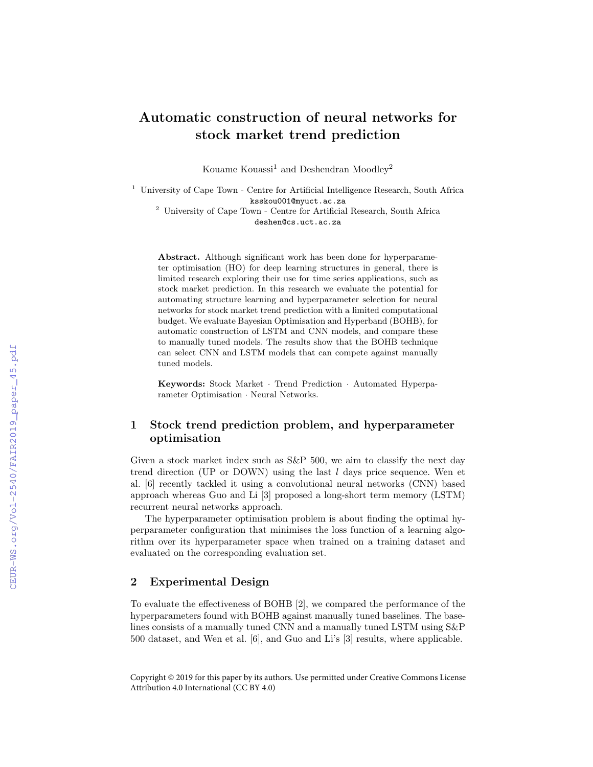# Automatic construction of neural networks for stock market trend prediction

Kouame Kouassi<sup>1</sup> and Deshendran Moodley<sup>2</sup>

<sup>1</sup> University of Cape Town - Centre for Artificial Intelligence Research, South Africa ksskou001@myuct.ac.za

<sup>2</sup> University of Cape Town - Centre for Artificial Research, South Africa deshen@cs.uct.ac.za

Abstract. Although significant work has been done for hyperparameter optimisation (HO) for deep learning structures in general, there is limited research exploring their use for time series applications, such as stock market prediction. In this research we evaluate the potential for automating structure learning and hyperparameter selection for neural networks for stock market trend prediction with a limited computational budget. We evaluate Bayesian Optimisation and Hyperband (BOHB), for automatic construction of LSTM and CNN models, and compare these to manually tuned models. The results show that the BOHB technique can select CNN and LSTM models that can compete against manually tuned models.

Keywords: Stock Market · Trend Prediction · Automated Hyperparameter Optimisation · Neural Networks.

# 1 Stock trend prediction problem, and hyperparameter optimisation

Given a stock market index such as  $S\&P 500$ , we aim to classify the next day trend direction (UP or DOWN) using the last  $l$  days price sequence. Wen et al. [6] recently tackled it using a convolutional neural networks (CNN) based approach whereas Guo and Li [3] proposed a long-short term memory (LSTM) recurrent neural networks approach.

The hyperparameter optimisation problem is about finding the optimal hyperparameter configuration that minimises the loss function of a learning algorithm over its hyperparameter space when trained on a training dataset and evaluated on the corresponding evaluation set.

### 2 Experimental Design

To evaluate the effectiveness of BOHB [2], we compared the performance of the hyperparameters found with BOHB against manually tuned baselines. The baselines consists of a manually tuned CNN and a manually tuned LSTM using S&P 500 dataset, and Wen et al. [6], and Guo and Li's [3] results, where applicable.

Copyright © 2019 for this paper by its authors. Use permitted under Creative Commons License Attribution 4.0 International (CC BY 4.0)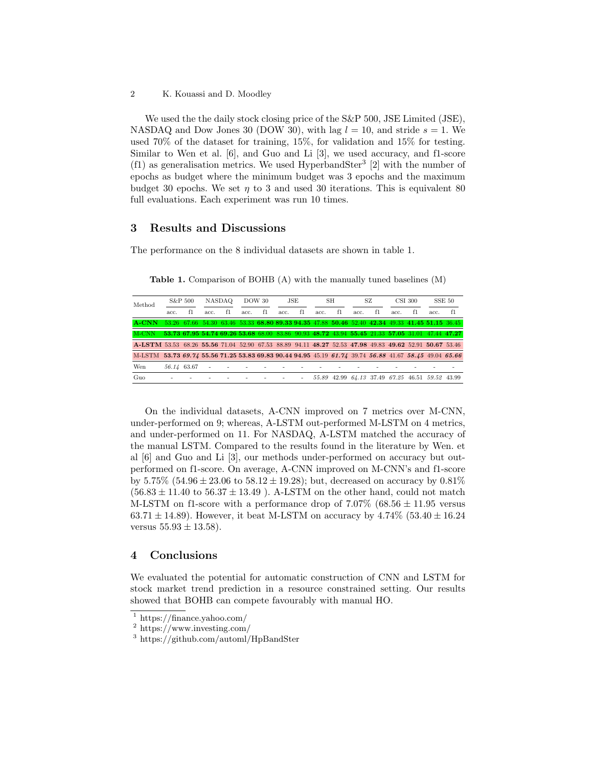We used the the daily stock closing price of the S&P 500, JSE Limited (JSE), NASDAQ and Dow Jones 30 (DOW 30), with lag  $l = 10$ , and stride  $s = 1$ . We used 70% of the dataset for training, 15%, for validation and 15% for testing. Similar to Wen et al. [6], and Guo and Li [3], we used accuracy, and f1-score (f1) as generalisation metrics. We used HyperbandSter<sup>3</sup> [2] with the number of epochs as budget where the minimum budget was 3 epochs and the maximum budget 30 epochs. We set  $\eta$  to 3 and used 30 iterations. This is equivalent 80 full evaluations. Each experiment was run 10 times.

#### 3 Results and Discussions

The performance on the 8 individual datasets are shown in table 1.

Table 1. Comparison of BOHB (A) with the manually tuned baselines (M)

| Method                                                                                                 | S&P 500 |             | NASDAO |    | DOW 30 |    | JSE  |    | SН   |                                                 | SZ   |    | CSI 300 |    | SSE 50 |                                                                                                 |
|--------------------------------------------------------------------------------------------------------|---------|-------------|--------|----|--------|----|------|----|------|-------------------------------------------------|------|----|---------|----|--------|-------------------------------------------------------------------------------------------------|
|                                                                                                        | acc.    | f1          | acc.   | f1 | acc.   | f1 | acc. | f1 | acc. | f1                                              | acc. | f1 | acc.    | f1 | acc.   | f1                                                                                              |
| A-CNN                                                                                                  |         |             |        |    |        |    |      |    |      |                                                 |      |    |         |    |        | 53.26 67.66 54.30 63.46 53.33 68.80 89.33 94.35 47.88 50.46 52.40 42.34 49.33 41.45 51.15 36.45 |
| M-CNN                                                                                                  |         |             |        |    |        |    |      |    |      |                                                 |      |    |         |    |        | 53.73 67.95 54.74 69.26 53.68 68.00 83.86 90.93 48.72 43.94 55.45 21.33 57.05 31.01 47.44 47.27 |
| A-LSTM 53.53 68.26 55.56 71.04 52.90 67.53 88.89 94.11 48.27 52.53 47.98 49.83 49.62 52.91 50.67 53.46 |         |             |        |    |        |    |      |    |      |                                                 |      |    |         |    |        |                                                                                                 |
| M-LSTM 53.73 69.74 55.56 71.25 53.83 69.83 90.44 94.95 45.19 61.74 39.74 56.88 41.67 58.45 49.04 65.66 |         |             |        |    |        |    |      |    |      |                                                 |      |    |         |    |        |                                                                                                 |
| Wen                                                                                                    |         | 56.14 63.67 |        |    |        |    |      |    |      |                                                 |      |    |         |    |        |                                                                                                 |
| Guo                                                                                                    |         |             |        |    |        |    |      |    |      | 55.89 42.99 64.13 37.49 67.25 46.51 59.52 43.99 |      |    |         |    |        |                                                                                                 |

On the individual datasets, A-CNN improved on 7 metrics over M-CNN, under-performed on 9; whereas, A-LSTM out-performed M-LSTM on 4 metrics, and under-performed on 11. For NASDAQ, A-LSTM matched the accuracy of the manual LSTM. Compared to the results found in the literature by Wen. et al [6] and Guo and Li [3], our methods under-performed on accuracy but outperformed on f1-score. On average, A-CNN improved on M-CNN's and f1-score by  $5.75\%$  (54.96  $\pm$  23.06 to 58.12  $\pm$  19.28); but, decreased on accuracy by 0.81%  $(56.83 \pm 11.40 \text{ to } 56.37 \pm 13.49)$ . A-LSTM on the other hand, could not match M-LSTM on f1-score with a performance drop of 7.07% (68.56  $\pm$  11.95 versus 63.71  $\pm$  14.89). However, it beat M-LSTM on accuracy by 4.74% (53.40  $\pm$  16.24 versus  $55.93 \pm 13.58$ .

#### 4 Conclusions

We evaluated the potential for automatic construction of CNN and LSTM for stock market trend prediction in a resource constrained setting. Our results showed that BOHB can compete favourably with manual HO.

<sup>2</sup> K. Kouassi and D. Moodley

 $\overline{1 \text{ https://finance.yahoo.com/}}$ 

<sup>2</sup> https://www.investing.com/

<sup>3</sup> https://github.com/automl/HpBandSter